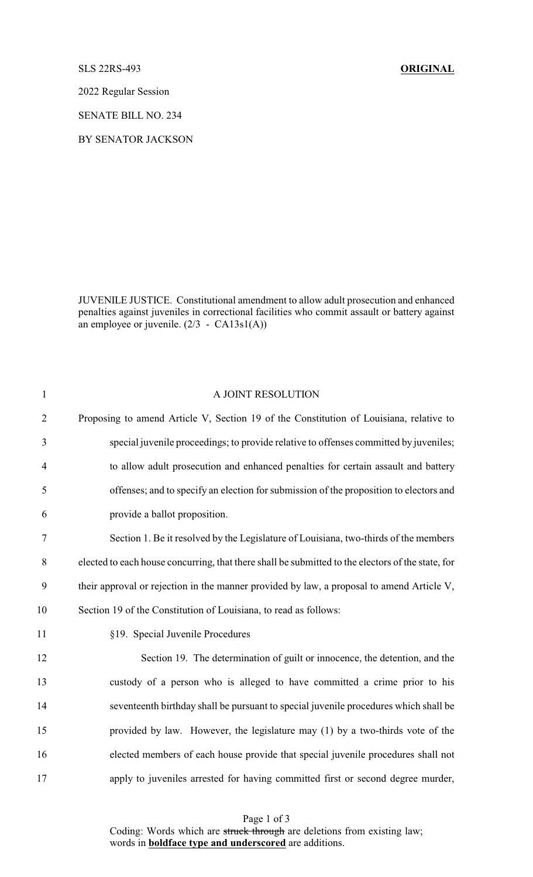#### SLS 22RS-493 **ORIGINAL**

2022 Regular Session

SENATE BILL NO. 234

BY SENATOR JACKSON

JUVENILE JUSTICE. Constitutional amendment to allow adult prosecution and enhanced penalties against juveniles in correctional facilities who commit assault or battery against an employee or juvenile. (2/3 - CA13s1(A))

| $\mathbf{1}$   | A JOINT RESOLUTION                                                                                |
|----------------|---------------------------------------------------------------------------------------------------|
| $\overline{2}$ | Proposing to amend Article V, Section 19 of the Constitution of Louisiana, relative to            |
| 3              | special juvenile proceedings; to provide relative to offenses committed by juveniles;             |
| $\overline{4}$ | to allow adult prosecution and enhanced penalties for certain assault and battery                 |
| 5              | offenses; and to specify an election for submission of the proposition to electors and            |
| 6              | provide a ballot proposition.                                                                     |
| $\tau$         | Section 1. Be it resolved by the Legislature of Louisiana, two-thirds of the members              |
| $8\,$          | elected to each house concurring, that there shall be submitted to the electors of the state, for |
| 9              | their approval or rejection in the manner provided by law, a proposal to amend Article V,         |
| 10             | Section 19 of the Constitution of Louisiana, to read as follows:                                  |
| 11             | §19. Special Juvenile Procedures                                                                  |
| 12             | Section 19. The determination of guilt or innocence, the detention, and the                       |
| 13             | custody of a person who is alleged to have committed a crime prior to his                         |
| 14             | seventeenth birthday shall be pursuant to special juvenile procedures which shall be              |
| 15             | provided by law. However, the legislature may (1) by a two-thirds vote of the                     |
| 16             | elected members of each house provide that special juvenile procedures shall not                  |
| 17             | apply to juveniles arrested for having committed first or second degree murder,                   |

Page 1 of 3 Coding: Words which are struck through are deletions from existing law; words in **boldface type and underscored** are additions.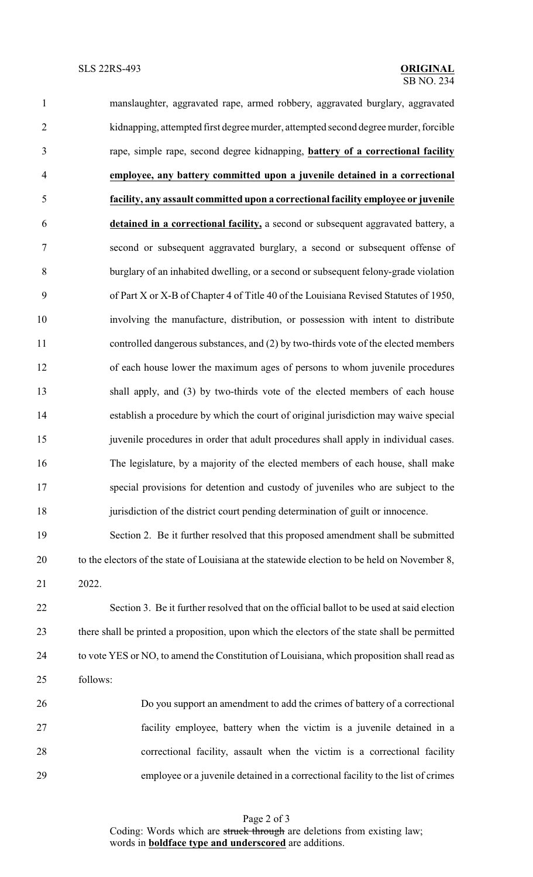manslaughter, aggravated rape, armed robbery, aggravated burglary, aggravated kidnapping, attempted first degree murder, attempted second degree murder, forcible rape, simple rape, second degree kidnapping, **battery of a correctional facility employee, any battery committed upon a juvenile detained in a correctional facility, any assault committed upon a correctional facility employee or juvenile detained in a correctional facility,** a second or subsequent aggravated battery, a second or subsequent aggravated burglary, a second or subsequent offense of burglary of an inhabited dwelling, or a second or subsequent felony-grade violation of Part X or X-B of Chapter 4 of Title 40 of the Louisiana Revised Statutes of 1950, involving the manufacture, distribution, or possession with intent to distribute controlled dangerous substances, and (2) by two-thirds vote of the elected members of each house lower the maximum ages of persons to whom juvenile procedures shall apply, and (3) by two-thirds vote of the elected members of each house establish a procedure by which the court of original jurisdiction may waive special 15 juven ile procedures in order that adult procedures shall apply in individual cases. The legislature, by a majority of the elected members of each house, shall make special provisions for detention and custody of juveniles who are subject to the jurisdiction of the district court pending determination of guilt or innocence. Section 2. Be it further resolved that this proposed amendment shall be submitted

20 to the electors of the state of Louisiana at the statewide election to be held on November 8, 2022.

 Section 3. Be it further resolved that on the official ballot to be used at said election there shall be printed a proposition, upon which the electors of the state shall be permitted 24 to vote YES or NO, to amend the Constitution of Louisiana, which proposition shall read as follows:

 Do you support an amendment to add the crimes of battery of a correctional facility employee, battery when the victim is a juvenile detained in a correctional facility, assault when the victim is a correctional facility employee or a juvenile detained in a correctional facility to the list of crimes

> Coding: Words which are struck through are deletions from existing law; words in **boldface type and underscored** are additions.

### Page 2 of 3